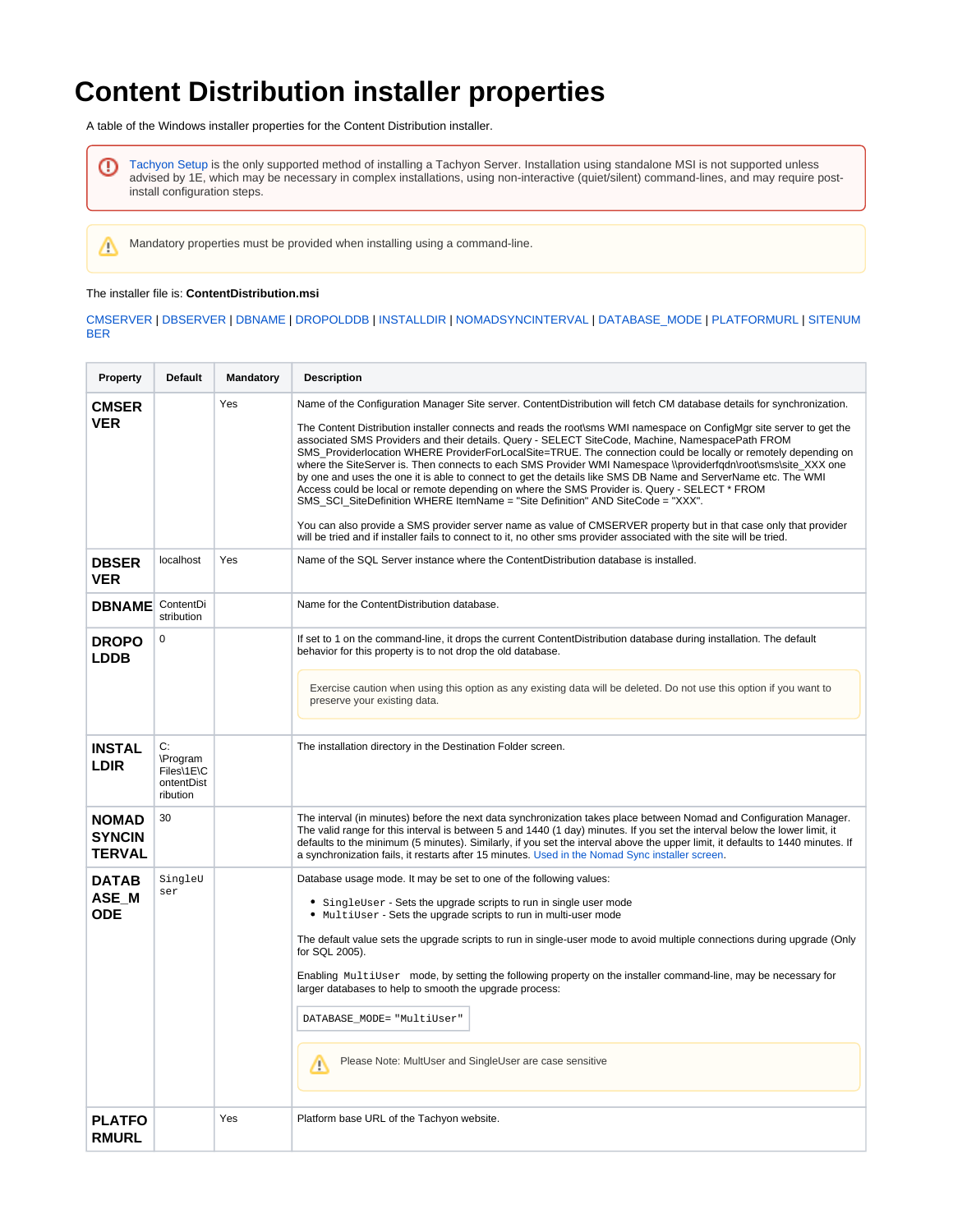## **Content Distribution installer properties**

A table of the Windows installer properties for the Content Distribution installer.

[Tachyon Setup](https://help.1e.com/display/TCN52/Tachyon+Setup) is the only supported method of installing a Tachyon Server. Installation using standalone MSI is not supported unless ⊕ advised by 1E, which may be necessary in complex installations, using non-interactive (quiet/silent) command-lines, and may require postinstall configuration steps.

Mandatory properties must be provided when installing using a command-line.

## The installer file is: **ContentDistribution.msi**

Δ

## [CMSERVER](#page-0-0) | [DBSERVER](#page-0-1) | [DBNAME](#page-0-2) | [DROPOLDDB](#page-0-3) | [INSTALLDIR](#page-0-4) | [NOMADSYNCINTERVAL](#page-0-5) | [DATABASE\\_MODE](#page-0-6) | [PLATFORMURL](#page-0-7) | [SITENUM](#page-1-0) **[BER](#page-1-0)**

<span id="page-0-7"></span><span id="page-0-6"></span><span id="page-0-5"></span><span id="page-0-4"></span><span id="page-0-3"></span><span id="page-0-2"></span><span id="page-0-1"></span><span id="page-0-0"></span>

| Property                                | <b>Default</b>                                         | Mandatory | <b>Description</b>                                                                                                                                                                                                                                                                                                                                                                                                                                                                                                                                                                                                                                                                                                                                                                                                                                                                                                                                                                                                                                                                                                                       |
|-----------------------------------------|--------------------------------------------------------|-----------|------------------------------------------------------------------------------------------------------------------------------------------------------------------------------------------------------------------------------------------------------------------------------------------------------------------------------------------------------------------------------------------------------------------------------------------------------------------------------------------------------------------------------------------------------------------------------------------------------------------------------------------------------------------------------------------------------------------------------------------------------------------------------------------------------------------------------------------------------------------------------------------------------------------------------------------------------------------------------------------------------------------------------------------------------------------------------------------------------------------------------------------|
| <b>CMSER</b><br><b>VER</b>              |                                                        | Yes       | Name of the Configuration Manager Site server. ContentDistribution will fetch CM database details for synchronization.<br>The Content Distribution installer connects and reads the root\sms WMI namespace on ConfigMgr site server to get the<br>associated SMS Providers and their details. Query - SELECT SiteCode, Machine, NamespacePath FROM<br>SMS Providerlocation WHERE ProviderForLocalSite=TRUE. The connection could be locally or remotely depending on<br>where the SiteServer is. Then connects to each SMS Provider WMI Namespace \\providerfqdn\root\sms\site_XXX one<br>by one and uses the one it is able to connect to get the details like SMS DB Name and ServerName etc. The WMI<br>Access could be local or remote depending on where the SMS Provider is. Query - SELECT * FROM<br>SMS_SCI_SiteDefinition WHERE ItemName = "Site Definition" AND SiteCode = "XXX".<br>You can also provide a SMS provider server name as value of CMSERVER property but in that case only that provider<br>will be tried and if installer fails to connect to it, no other sms provider associated with the site will be tried. |
| <b>DBSER</b><br><b>VER</b>              | localhost                                              | Yes       | Name of the SQL Server instance where the ContentDistribution database is installed.                                                                                                                                                                                                                                                                                                                                                                                                                                                                                                                                                                                                                                                                                                                                                                                                                                                                                                                                                                                                                                                     |
| <b>DBNAME</b>                           | ContentDi<br>stribution                                |           | Name for the ContentDistribution database.                                                                                                                                                                                                                                                                                                                                                                                                                                                                                                                                                                                                                                                                                                                                                                                                                                                                                                                                                                                                                                                                                               |
| <b>DROPO</b><br><b>LDDB</b>             | $\mathbf 0$                                            |           | If set to 1 on the command-line, it drops the current ContentDistribution database during installation. The default<br>behavior for this property is to not drop the old database.<br>Exercise caution when using this option as any existing data will be deleted. Do not use this option if you want to<br>preserve your existing data.                                                                                                                                                                                                                                                                                                                                                                                                                                                                                                                                                                                                                                                                                                                                                                                                |
| <b>INSTAL</b><br>LDIR                   | C:<br>\Program<br>Files\1E\C<br>ontentDist<br>ribution |           | The installation directory in the Destination Folder screen.                                                                                                                                                                                                                                                                                                                                                                                                                                                                                                                                                                                                                                                                                                                                                                                                                                                                                                                                                                                                                                                                             |
| <b>NOMAD</b><br>SYNCIN<br><b>TERVAL</b> | 30                                                     |           | The interval (in minutes) before the next data synchronization takes place between Nomad and Configuration Manager.<br>The valid range for this interval is between 5 and 1440 (1 day) minutes. If you set the interval below the lower limit, it<br>defaults to the minimum (5 minutes). Similarly, if you set the interval above the upper limit, it defaults to 1440 minutes. If<br>a synchronization fails, it restarts after 15 minutes. Used in the Nomad Sync installer screen.                                                                                                                                                                                                                                                                                                                                                                                                                                                                                                                                                                                                                                                   |
| <b>DATAB</b><br>ASE_M<br>ODE            | SingleU<br>ser                                         |           | Database usage mode. It may be set to one of the following values:<br>• SingleUser - Sets the upgrade scripts to run in single user mode<br>• MultiUser - Sets the upgrade scripts to run in multi-user mode<br>The default value sets the upgrade scripts to run in single-user mode to avoid multiple connections during upgrade (Only<br>for SQL 2005).<br>Enabling MultiUser mode, by setting the following property on the installer command-line, may be necessary for<br>larger databases to help to smooth the upgrade process:<br>DATABASE_MODE= "MultiUser"<br>Please Note: MultUser and SingleUser are case sensitive<br>M                                                                                                                                                                                                                                                                                                                                                                                                                                                                                                    |
| <b>PLATFO</b><br><b>RMURL</b>           |                                                        | Yes       | Platform base URL of the Tachyon website.                                                                                                                                                                                                                                                                                                                                                                                                                                                                                                                                                                                                                                                                                                                                                                                                                                                                                                                                                                                                                                                                                                |